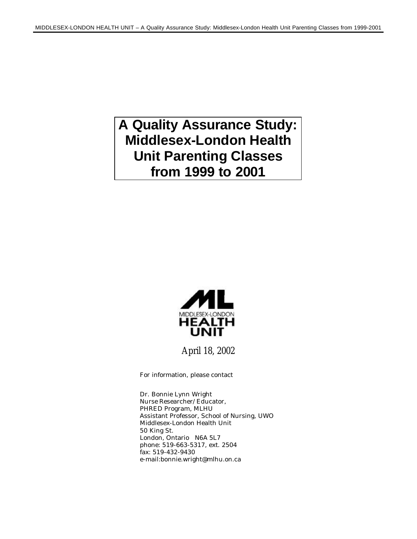# **A Quality Assurance Study: Middlesex-London Health Unit Parenting Classes from 1999 to 2001**



April 18, 2002

For information, please contact

Dr. Bonnie Lynn Wright Nurse Researcher/Educator, PHRED Program, MLHU Assistant Professor, School of Nursing, UWO Middlesex-London Health Unit 50 King St. London, Ontario N6A 5L7 phone: 519-663-5317, ext. 2504 fax: 519-432-9430 e-mail:bonnie.wright@mlhu.on.ca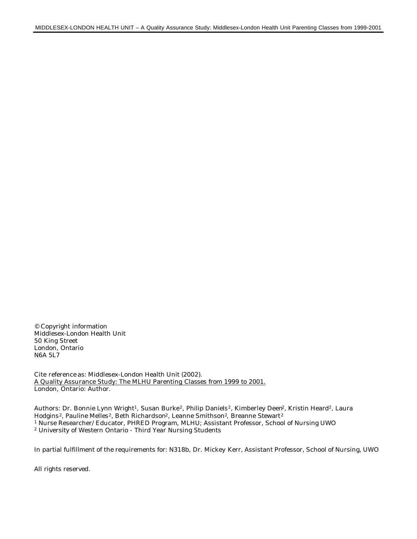© Copyright information Middlesex-London Health Unit 50 King Street London, Ontario N6A 5L7

Cite reference as: Middlesex-London Health Unit (2002). A Quality Assurance Study: The MLHU Parenting Classes from 1999 to 2001. London, Ontario: Author.

Authors: Dr. Bonnie Lynn Wright<sup>1</sup>, Susan Burke<sup>2</sup>, Philip Daniels<sup>2</sup>, Kimberley Deen<sup>2</sup>, Kristin Heard<sup>2</sup>, Laura Hodgins<sup>2</sup>, Pauline Melles<sup>2</sup>, Beth Richardson<sup>2</sup>, Leanne Smithson<sup>2</sup>, Breanne Stewart<sup>2</sup> <sup>1</sup> Nurse Researcher/Educator, PHRED Program, MLHU; Assistant Professor, School of Nursing UWO <sup>2</sup> University of Western Ontario - Third Year Nursing Students

In partial fulfillment of the requirements for: N318b, Dr. Mickey Kerr, Assistant Professor, School of Nursing, UWO

All rights reserved.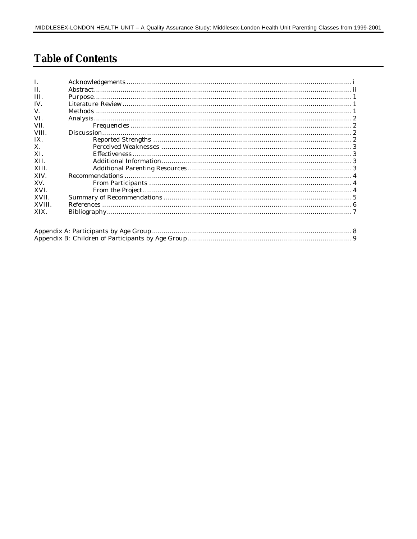### **Table of Contents**

| L            |  |
|--------------|--|
| II.          |  |
| III.         |  |
| $IV_{-}$     |  |
| V.           |  |
| VI.          |  |
| VII.         |  |
| VIII.        |  |
| IX.          |  |
| X.           |  |
| XL           |  |
| XII.         |  |
| XIII.        |  |
| XIV.         |  |
| XV.          |  |
| XVI.         |  |
| XVII.        |  |
| <b>XVIII</b> |  |
| XIX.         |  |
|              |  |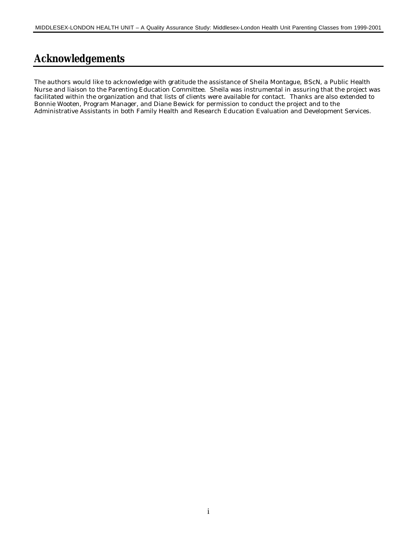### **Acknowledgements**

The authors would like to acknowledge with gratitude the assistance of Sheila Montague, BScN, a Public Health Nurse and liaison to the Parenting Education Committee. Sheila was instrumental in assuring that the project was facilitated within the organization and that lists of clients were available for contact. Thanks are also extended to Bonnie Wooten, Program Manager, and Diane Bewick for permission to conduct the project and to the Administrative Assistants in both Family Health and Research Education Evaluation and Development Services.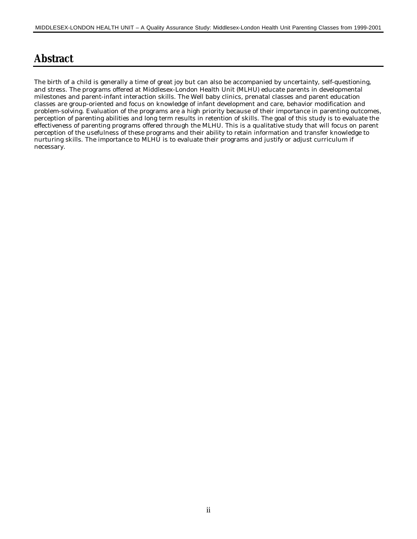### **Abstract**

The birth of a child is generally a time of great joy but can also be accompanied by uncertainty, self-questioning, and stress. The programs offered at Middlesex-London Health Unit (MLHU) educate parents in developmental milestones and parent-infant interaction skills. The Well baby clinics, prenatal classes and parent education classes are group-oriented and focus on knowledge of infant development and care, behavior modification and problem-solving. Evaluation of the programs are a high priority because of their importance in parenting outcomes, perception of parenting abilities and long term results in retention of skills. The goal of this study is to evaluate the effectiveness of parenting programs offered through the MLHU. This is a qualitative study that will focus on parent perception of the usefulness of these programs and their ability to retain information and transfer knowledge to nurturing skills. The importance to MLHU is to evaluate their programs and justify or adjust curriculum if necessary.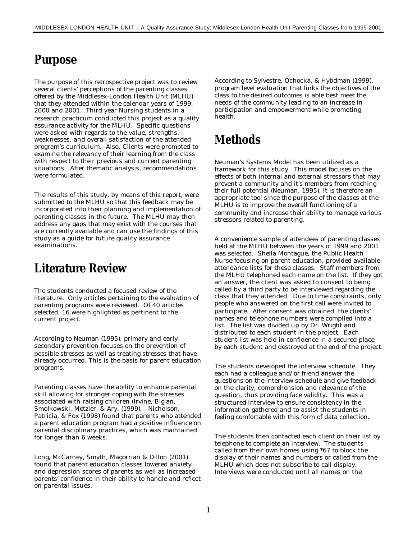# **Purpose**

The purpose of this retrospective project was to review several clients' perceptions of the parenting classes offered by the Middlesex-London Health Unit (MLHU) that they attended within the calendar years of 1999, 2000 and 2001. Third year Nursing students in a research practicum conducted this project as a quality assurance activity for the MLHU. Specific questions were asked with regards to the value, strengths, weaknesses, and overall satisfaction of the attended program's curriculum. Also, Clients were prompted to examine the relevancy of their learning from the class with respect to their previous and current parenting situations. After thematic analysis, recommendations were formulated.

The results of this study, by means of this report, were submitted to the MLHU so that this feedback may be incorporated into their planning and implementation of parenting classes in the future. The MLHU may then address any gaps that may exist with the courses that are currently available and can use the findings of this study as a guide for future quality assurance examinations.

## **Literature Review**

The students conducted a focused review of the literature. Only articles pertaining to the evaluation of parenting programs were reviewed. Of 40 articles selected, 16 were highlighted as pertinent to the current project.

According to Neuman (1995), primary and early secondary prevention focuses on the prevention of possible stresses as well as treating stresses that have already occurred. This is the basis for parent education programs.

Parenting classes have the ability to enhance parental skill allowing for stronger coping with the stresses associated with raising children (Irvine, Biglan, Smolkowski, Metzler, & Ary, (1999). Nicholson, Patricia, & Fox (1998) found that parents who attended a parent education program had a positive influence on parental disciplinary practices, which was maintained for longer than 6 weeks.

Long, McCarney, Smyth, Magorrian & Dillon (2001) found that parent education classes lowered anxiety and depression scores of parents as well as increased parents' confidence in their ability to handle and reflect on parental issues.

According to Sylvestre, Ochocka, & Hybdman (1999), program level evaluation that links the objectives of the class to the desired outcomes is able best meet the needs of the community leading to an increase in participation and empowerment while promoting health.

## **Methods**

Neuman's Systems Model has been utilized as a framework for this study. This model focuses on the effects of both internal and external stressors that may prevent a community and it's members from reaching their full potential (Neuman, 1995). It is therefore an appropriate tool since the purpose of the classes at the MLHU is to improve the overall functioning of a community and increase their ability to manage various stressors related to parenting.

A convenience sample of attendees of parenting classes held at the MLHU between the years of 1999 and 2001 was selected. Sheila Montague, the Public Health Nurse focusing on parent education, provided available attendance lists for these classes. Staff members from the MLHU telephoned each name on the list. If they got an answer, the client was asked to consent to being called by a third party to be interviewed regarding the class that they attended. Due to time constraints, only people who answered on the first call were invited to participate. After consent was obtained, the clients' names and telephone numbers were compiled into a list. The list was divided up by Dr. Wright and distributed to each student in the project. Each student list was held in confidence in a secured place by each student and destroyed at the end of the project.

The students developed the interview schedule. They each had a colleague and/or friend answer the questions on the interview schedule and give feedback on the clarity, comprehension and relevance of the question, thus providing face validity. This was a structured interview to ensure consistency in the information gathered and to assist the students in feeling comfortable with this form of data collection.

The students then contacted each client on their list by telephone to complete an interview. The students called from their own homes using \*67 to block the display of their names and numbers or called from the MLHU which does not subscribe to call display. Interviews were conducted until all names on the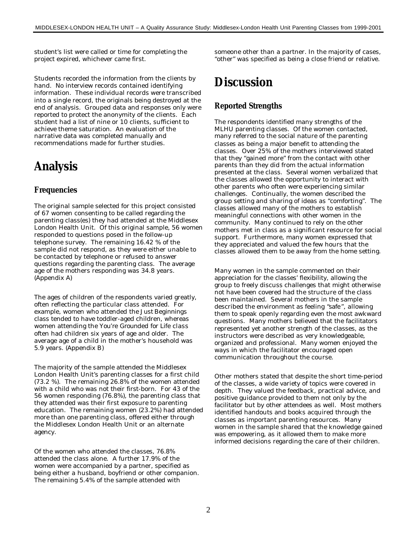student's list were called or time for completing the project expired, whichever came first.

Students recorded the information from the clients by hand. No interview records contained identifying information. These individual records were transcribed into a single record, the originals being destroyed at the end of analysis. Grouped data and responses only were reported to protect the anonymity of the clients. Each student had a list of nine or 10 clients, sufficient to achieve theme saturation. An evaluation of the narrative data was completed manually and recommendations made for further studies.

# **Analysis**

### **Frequencies**

The original sample selected for this project consisted of 67 women consenting to be called regarding the parenting class(es) they had attended at the Middlesex London Health Unit. Of this original sample, 56 women responded to questions posed in the follow-up telephone survey. The remaining 16.42 % of the sample did not respond, as they were either unable to be contacted by telephone or refused to answer questions regarding the parenting class. The average age of the mothers responding was 34.8 years. (Appendix A)

The ages of children of the respondents varied greatly, often reflecting the particular class attended. For example, women who attended the *Just Beginnings* class tended to have toddler-aged children, whereas women attending the *You're Grounded for Life* class often had children six years of age and older. The average age of a child in the mother's household was 5.9 years. (Appendix B)

The majority of the sample attended the Middlesex London Health Unit's parenting classes for a first child (73.2 %). The remaining 26.8% of the women attended with a child who was not their first-born. For 43 of the 56 women responding (76.8%), the parenting class that they attended was their first exposure to parenting education. The remaining women (23.2%) had attended more than one parenting class, offered either through the Middlesex London Health Unit or an alternate agency.

Of the women who attended the classes, 76.8% attended the class alone. A further 17.9% of the women were accompanied by a partner, specified as being either a husband, boyfriend or other companion. The remaining 5.4% of the sample attended with

someone other than a partner. In the majority of cases, "other" was specified as being a close friend or relative.

## **Discussion**

### **Reported Strengths**

The respondents identified many strengths of the MLHU parenting classes. Of the women contacted, many referred to the social nature of the parenting classes as being a major benefit to attending the classes. Over 25% of the mothers interviewed stated that they "gained more" from the contact with other parents than they did from the actual information presented at the class. Several women verbalized that the classes allowed the opportunity to interact with other parents who often were experiencing similar challenges. Continually, the women described the group setting and sharing of ideas as "comforting". The classes allowed many of the mothers to establish meaningful connections with other women in the community. Many continued to rely on the other mothers met in class as a significant resource for social support. Furthermore, many women expressed that they appreciated and valued the few hours that the classes allowed them to be away from the home setting.

Many women in the sample commented on their appreciation for the classes' flexibility, allowing the group to freely discuss challenges that might otherwise not have been covered had the structure of the class been maintained. Several mothers in the sample described the environment as feeling "safe ", allowing them to speak openly regarding even the most awkward questions. Many mothers believed that the facilitators represented yet another strength of the classes, as the instructors were described as very knowledgeable, organized and professional. Many women enjoyed the ways in which the facilitator encouraged open communication throughout the course.

Other mothers stated that despite the short time-period of the classes, a wide variety of topics were covered in depth. They valued the feedback, practical advice, and positive guidance provided to them not only by the facilitator but by other attendees as well. Most mothers identified handouts and books acquired through the classes as important parenting resources. Many women in the sample shared that the knowledge gained was empowering, as it allowed them to make more informed decisions regarding the care of their children.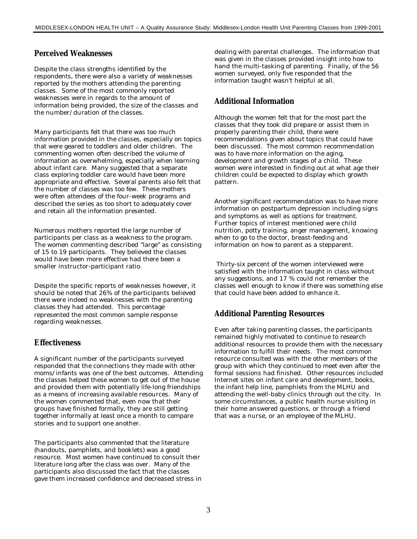#### **Perceived Weaknesses**

Despite the class strengths identified by the respondents, there were also a variety of weaknesses reported by the mothers attending the parenting classes. Some of the most commonly reported weaknesses were in regards to the amount of information being provided, the size of the classes and the number/duration of the classes.

Many participants felt that there was too much information provided in the classes, especially on topics that were geared to toddlers and older children. The commenting women often described the volume of information as overwhelming, especially when learning about infant care. Many suggested that a separate class exploring toddler care would have been more appropriate and effective. Several parents also felt that the number of classes was too few. These mothers were often attendees of the four-week programs and described the series as too short to adequately cover and retain all the information presented.

Numerous mothers reported the large number of participants per class as a weakness to the program. The women commenting described "large" as consisting of 15 to 19 participants. They believed the classes would have been more effective had there been a smaller instructor-participant ratio.

Despite the specific reports of weaknesses however, it should be noted that 26% of the participants believed there were indeed no weaknesses with the parenting classes they had attended. This percentage represented the most common sample response regarding weaknesses.

#### **Effectiveness**

A significant number of the participants surveyed responded that the connections they made with other moms/infants was one of the best outcomes. Attending the classes helped these women to get out of the house and provided them with potentially life-long friendships as a means of increasing available resources. Many of the women commented that, even now that their groups have finished formally, they are still getting together informally at least once a month to compare stories and to support one another.

The participants also commented that the literature (handouts, pamphlets, and booklets) was a good resource. Most women have continued to consult their literature long after the class was over. Many of the participants also discussed the fact that the classes gave them increased confidence and decreased stress in dealing with parental challenges. The information that was given in the classes provided insight into how to hand the multi-tasking of parenting. Finally, of the 56 women surveyed, only five responded that the information taught wasn't helpful at all.

#### **Additional Information**

Although the women felt that for the most part the classes that they took did prepare or assist them in properly parenting their child, there were recommendations given about topics that could have been discussed. The most common recommendation was to have more information on the aging, development and growth stages of a child. These women were interested in finding out at what age their children could be expected to display which growth pattern.

Another significant recommendation was to have more information on postpartum depression including signs and symptoms as well as options for treatment. Further topics of interest mentioned were child nutrition, potty training, anger management, knowing when to go to the doctor, breast-feeding and information on how to parent as a stepparent.

 Thirty-six percent of the women interviewed were satisfied with the information taught in class without any suggestions, and 17 % could not remember the classes well enough to know if there was something else that could have been added to enhance it.

#### **Additional Parenting Resources**

Even after taking parenting classes, the participants remained highly motivated to continue to research additional resources to provide them with the necessary information to fulfill their needs. The most common resource consulted was with the other members of the group with which they continued to meet even after the formal sessions had finished. Other resources included Internet sites on infant care and development, books, the infant help line, pamphlets from the MLHU and attending the well-baby clinics through out the city. In some circumstances, a public health nurse visiting in their home answered questions, or through a friend that was a nurse, or an employee of the MLHU.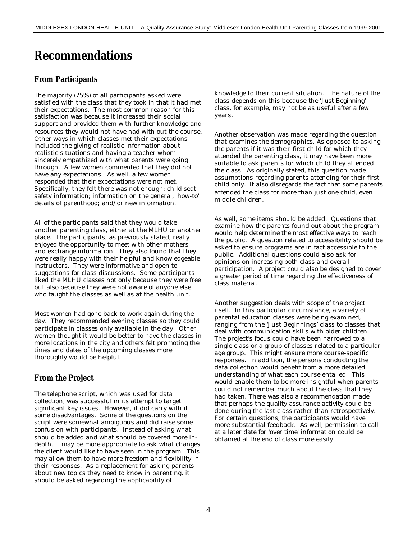# **Recommendations**

#### **From Participants**

The majority (75%) of all participants asked were satisfied with the class that they took in that it had met their expectations. The most common reason for this satisfaction was because it increased their social support and provided them with further knowledge and resources they would not have had with out the course. Other ways in which classes met their expectations included the giving of realistic information about realistic situations and having a teacher whom sincerely empathized with what parents were going through. A few women commented that they did not have any expectations. As well, a few women responded that their expectations were not met. Specifically, they felt there was not enough: child seat safety information; information on the general, 'how-to' details of parenthood; and/or new information.

All of the participants said that they would take another parenting class, either at the MLHU or another place. The participants, as previously stated, really enjoyed the opportunity to meet with other mothers and exchange information. They also found that they were really happy with their helpful and knowledgeable instructors. They were informative and open to suggestions for class discussions. Some participants liked the MLHU classes not only because they were free but also because they were not aware of anyone else who taught the classes as well as at the health unit.

Most women had gone back to work again during the day. They recommended evening classes so they could participate in classes only available in the day. Other women thought it would be better to have the classes in more locations in the city and others felt promoting the times and dates of the upcoming classes more thoroughly would be helpful.

### **From the Project**

The telephone script, which was used for data collection, was successful in its attempt to target significant key issues. However, it did carry with it some disadvantages. Some of the questions on the script were somewhat ambiguous and did raise some confusion with participants. Instead of asking what should be added and what should be covered more indepth, it may be more appropriate to ask what changes the client would like to have seen in the program. This may allow them to have more freedom and flexibility in their responses. As a replacement for asking parents about new topics they need to know in parenting, it should be asked regarding the applicability of

knowledge to their current situation. The nature of the class depends on this because the *'Just Beginning'* class, for example, may not be as useful after a few years.

Another observation was made regarding the question that examines the demographics. As opposed to asking the parents if it was their first child for which they attended the parenting class, it may have been more suitable to ask parents for which child they attended the class. As originally stated, this question made assumptions regarding parents attending for their first child only. It also disregards the fact that some parents attended the class for more than just one child, even middle children.

As well, some items should be added. Questions that examine how the parents found out about the program would help determine the most effective ways to reach the public. A question related to accessibility should be asked to ensure programs are in fact accessible to the public. Additional questions could also ask for opinions on increasing both class and overall participation. A project could also be designed to cover a greater period of time regarding the effectiveness of class material.

Another suggestion deals with scope of the project itself. In this particular circumstance, a variety of parental education classes were being examined, ranging from the 'Just Beginnings' class to classes that deal with communication skills with older children. The project's focus could have been narrowed to a single class or a group of classes related to a particular age group. This might ensure more course-specific responses. In addition, the persons conducting the data collection would benefit from a more detailed understanding of what each course entailed. This would enable them to be more insightful when parents could not remember much about the class that they had taken. There was also a recommendation made that perhaps the quality assurance activity could be done during the last class rather than retrospectively. For certain questions, the participants would have more substantial feedback. As well, permission to call at a later date for 'over time' information could be obtained at the end of class more easily.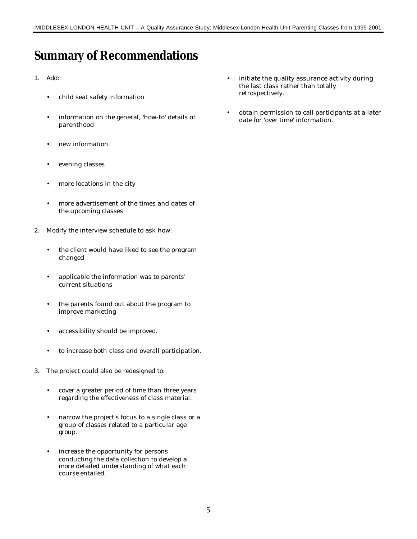# **Summary of Recommendations**

- 1. Add:
	- child seat safety information
	- information on the general, 'how-to' details of parenthood
	- new information
	- evening classes
	- more locations in the city
	- more advertisement of the times and dates of the upcoming classes
- 2. Modify the interview schedule to ask how:
	- the client would have liked to see the program changed
	- applicable the information was to parents' current situations
	- the parents found out about the program to improve marketing
	- accessibility should be improved.
	- to increase both class and overall participation.
- 3. The project could also be redesigned to:
	- cover a greater period of time than three years regarding the effectiveness of class material.
	- narrow the project's focus to a single class or a group of classes related to a particular age group.
	- increase the opportunity for persons conducting the data collection to develop a more detailed understanding of what each course entailed.
- initiate the quality assurance activity during the last class rather than totally retrospectively.
- obtain permission to call participants at a later date for 'over time' information.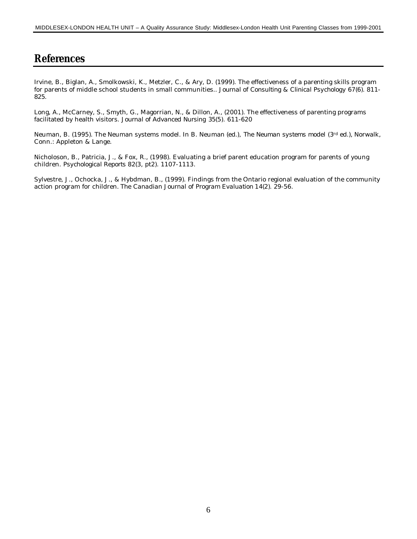### **References**

Irvine, B., Biglan, A., Smolkowski, K., Metzler, C., & Ary, D. (1999). The effectiveness of a parenting skills program for parents of middle school students in small communities.. *Journal of Consulting & Clinical Psychology 67*(6). 811- 825.

Long, A., McCarney, S., Smyth, G., Magorrian, N., & Dillon, A., (2001). The effectiveness of parenting programs facilitated by health visitors*. Journal of Advanced Nursing 35*(5). 611-620

Neuman, B. (1995). The Neuman systems model. In B. Neuman (ed.), *The Neuman systems model* (3rd ed.), Norwalk, Conn.: Appleton & Lange.

Nicholoson, B., Patricia, J., & Fox, R., (1998). Evaluating a brief parent education program for parents of young children. *Psychological Reports 82*(3, pt2). 1107-1113.

Sylvestre, J., Ochocka, J., & Hybdman, B., (1999). Findings from the Ontario regional evaluation of the community action program for children. *The Canadian Journal of Program Evaluation 14*(2). 29-56.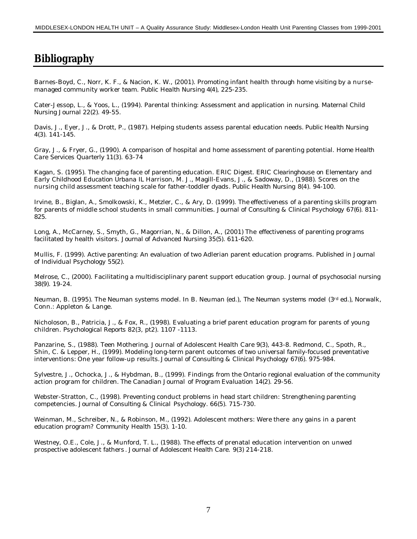### **Bibliography**

Barnes-Boyd, C., Norr, K. F., & Nacion, K. W., (2001). Promoting infant health through home visiting by a nursemanaged community worker team. *Public Health Nursing 4*(4), 225-235.

Cater-Jessop, L., & Yoos, L., (1994). Parental thinking: Assessment and application in nursing. *Maternal Child Nursing Journal 22*(2). 49-55.

Davis, J., Eyer, J., & Drott, P., (1987). Helping students assess parental education needs. *Public Health Nursing 4*(3). 141-145.

Gray, J., & Fryer, G., (1990). A comparison of hospital and home assessment of parenting potential. *Home Health Care Services Quarterly 11*(3). 63-74

Kagan, S. (1995). The changing face of parenting education. ERIC Digest. *ERIC Clearinghouse on Elementary and Early Childhood Education Urbana IL* Harrison, M. J., Magill-Evans, J., & Sadoway, D., (1988). Scores on the nursing child assessment teaching scale for father-toddler dyads*. Public Health Nursing 8*(4). 94-100.

Irvine, B., Biglan, A., Smolkowski, K., Metzler, C., & Ary, D. (1999). The effectiveness of a parenting skills program for parents of middle school students in small communities. *Journal of Consulting & Clinical Psychology 67*(6). 811- 825.

Long, A., McCarney, S., Smyth, G., Magorrian, N., & Dillon, A., (2001) The effectiveness of parenting programs facilitated by health visitors*. Journal of Advanced Nursing 35*(5). 611-620.

Mullis, F. (1999). Active parenting: An evaluation of two Adlerian parent education programs. *Published in Journal of Individual Psychology 55*(2).

Melrose, C., (2000). Facilitating a multidisciplinary parent support education group. *Journal of psychosocial nursing 38*(9). 19-24.

Neuman, B. (1995). The Neuman systems model. In B. Neuman (ed.), *The Neuman systems model* (3rd ed.), Norwalk, Conn.: Appleton & Lange.

Nicholoson, B., Patricia, J., & Fox, R., (1998). Evaluating a brief parent education program for parents of young children. *Psychological Reports 82*(3, pt2). 1107 -1113.

Panzarine, S., (1988). Teen Mothering. Journal of Adolescent Health Care *9*(3), 443-8. Redmond, C., Spoth, R., Shin, C. & Lepper, H., (1999). Modeling long-term parent outcomes of two universal family-focused preventative interventions: One year follow-up results. *Journal of Consulting & Clinical Psychology 67*(6). 975-984.

Sylvestre, J., Ochocka, J., & Hybdman, B., (1999). Findings from the Ontario regional evaluation of the community action program for children. *The Canadian Journal of Program Evaluation 14*(2). 29-56.

Webster-Stratton, C., (1998). Preventing conduct problems in head start children: Strengthening parenting competencies. *Journal of Consulting & Clinical Psychology. 66*(5). 715-730.

Weinman, M., Schreiber, N., & Robinson, M., (1992). Adolescent mothers: Were there any gains in a parent education program? *Community Health 15*(3). 1-10.

Westney, O.E., Cole, J., & Munford, T. L., (1988). The effects of prenatal education intervention on unwed prospective adolescent fathers *. Journal of Adolescent Health Care. 9*(3) 214-218.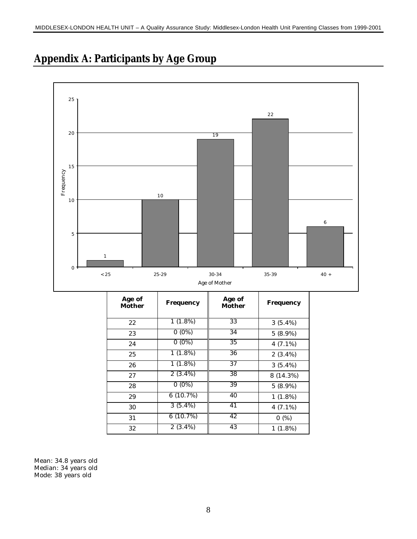

# **Appendix A: Participants by Age Group**

| Age of<br><b>Mother</b> | <b>Frequency</b> | Age of<br><b>Mother</b> | <b>Frequency</b> |
|-------------------------|------------------|-------------------------|------------------|
| 22                      | 1(1.8%)          | 33                      | 3(5.4%)          |
| 23                      | $0(0\%)$         | 34                      | 5 (8.9%)         |
| 24                      | $0(0\%)$         | 35                      | $4(7.1\%)$       |
| 25                      | $1(1.8\%)$       | 36                      | $2(3.4\%)$       |
| 26                      | $1(1.8\%)$       | $\overline{37}$         | $3(5.4\%)$       |
| 27                      | $2(3.4\%)$       | 38                      | 8 (14.3%)        |
| 28                      | $0(0\%)$         | 39                      | $5(8.9\%)$       |
| 29                      | 6(10.7%)         | 40                      | $1(1.8\%)$       |
| 30                      | $3(5.4\%)$       | 41                      | 4 $(7.1\%)$      |
| 31                      | 6(10.7%)         | 42                      | 0(%)             |
| 32                      | $2(3.4\%)$       | 43                      | 1(1.8%)          |

Mean: 34.8 years old Median: 34 years old Mode: 38 years old